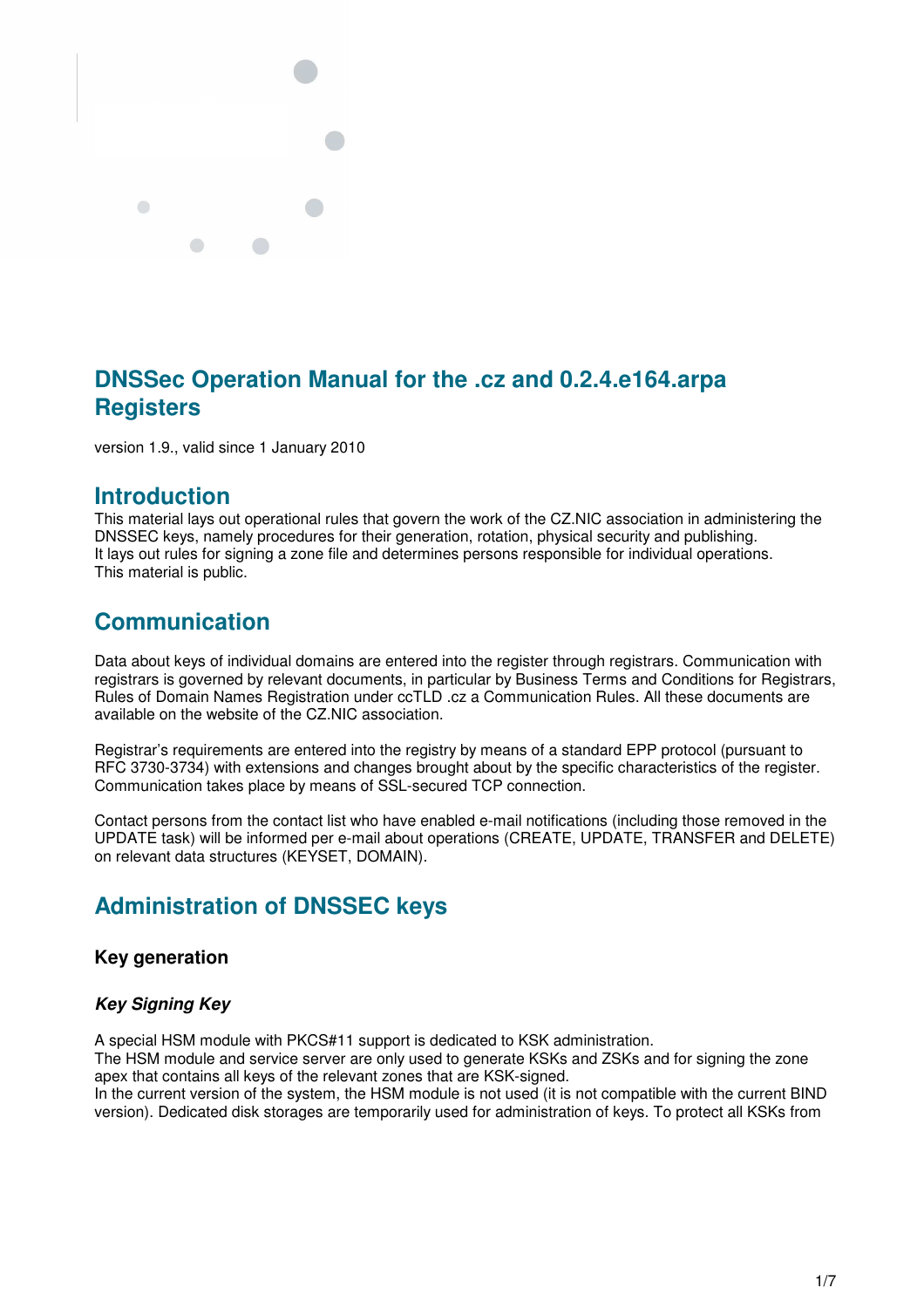

# **DNSSec Operation Manual for the .cz and 0.2.4.e164.arpa Registers**

version 1.9., valid since 1 January 2010

## **Introduction**

This material lays out operational rules that govern the work of the CZ.NIC association in administering the DNSSEC keys, namely procedures for their generation, rotation, physical security and publishing. It lays out rules for signing a zone file and determines persons responsible for individual operations. This material is public.

# **Communication**

Data about keys of individual domains are entered into the register through registrars. Communication with registrars is governed by relevant documents, in particular by Business Terms and Conditions for Registrars, Rules of Domain Names Registration under ccTLD .cz a Communication Rules. All these documents are available on the website of the CZ.NIC association.

Registrar's requirements are entered into the registry by means of a standard EPP protocol (pursuant to RFC 3730-3734) with extensions and changes brought about by the specific characteristics of the register. Communication takes place by means of SSL-secured TCP connection.

Contact persons from the contact list who have enabled e-mail notifications (including those removed in the UPDATE task) will be informed per e-mail about operations (CREATE, UPDATE, TRANSFER and DELETE) on relevant data structures (KEYSET, DOMAIN).

# **Administration of DNSSEC keys**

## **Key generation**

## *Key Signing Key*

A special HSM module with PKCS#11 support is dedicated to KSK administration.

The HSM module and service server are only used to generate KSKs and ZSKs and for signing the zone apex that contains all keys of the relevant zones that are KSK-signed.

In the current version of the system, the HSM module is not used (it is not compatible with the current BIND version). Dedicated disk storages are temporarily used for administration of keys. To protect all KSKs from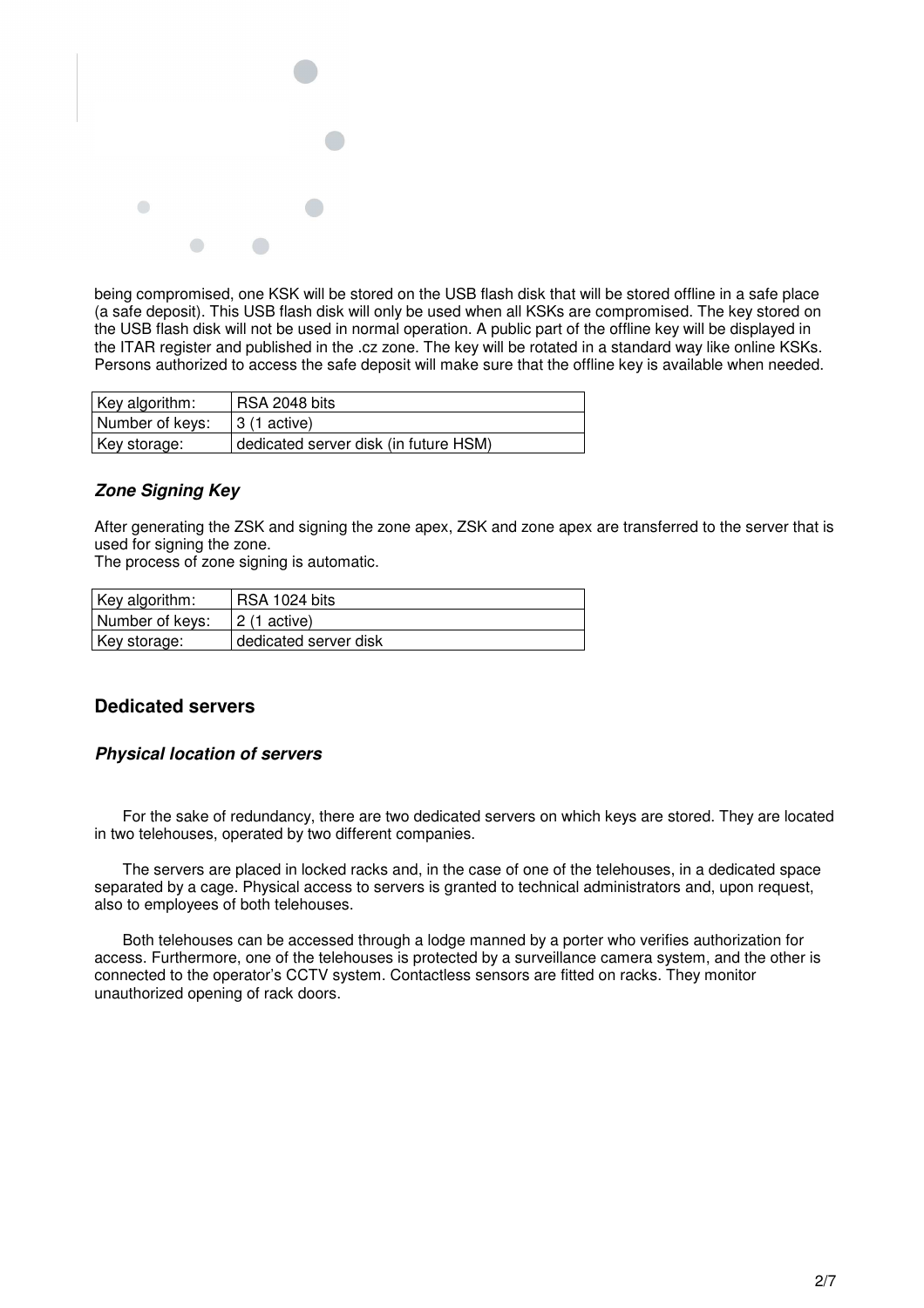

being compromised, one KSK will be stored on the USB flash disk that will be stored offline in a safe place (a safe deposit). This USB flash disk will only be used when all KSKs are compromised. The key stored on the USB flash disk will not be used in normal operation. A public part of the offline key will be displayed in the ITAR register and published in the .cz zone. The key will be rotated in a standard way like online KSKs. Persons authorized to access the safe deposit will make sure that the offline key is available when needed.

| Key algorithm:  | RSA 2048 bits                         |
|-----------------|---------------------------------------|
| Number of keys: | 3 (1 active)                          |
| Key storage:    | dedicated server disk (in future HSM) |

### *Zone Signing Key*

After generating the ZSK and signing the zone apex, ZSK and zone apex are transferred to the server that is used for signing the zone.

The process of zone signing is automatic.

| Key algorithm:  | RSA 1024 bits         |
|-----------------|-----------------------|
| Number of keys: | 2 (1 active)          |
| Key storage:    | dedicated server disk |

## **Dedicated servers**

### *Physical location of servers*

For the sake of redundancy, there are two dedicated servers on which keys are stored. They are located in two telehouses, operated by two different companies.

The servers are placed in locked racks and, in the case of one of the telehouses, in a dedicated space separated by a cage. Physical access to servers is granted to technical administrators and, upon request, also to employees of both telehouses.

Both telehouses can be accessed through a lodge manned by a porter who verifies authorization for access. Furthermore, one of the telehouses is protected by a surveillance camera system, and the other is connected to the operator's CCTV system. Contactless sensors are fitted on racks. They monitor unauthorized opening of rack doors.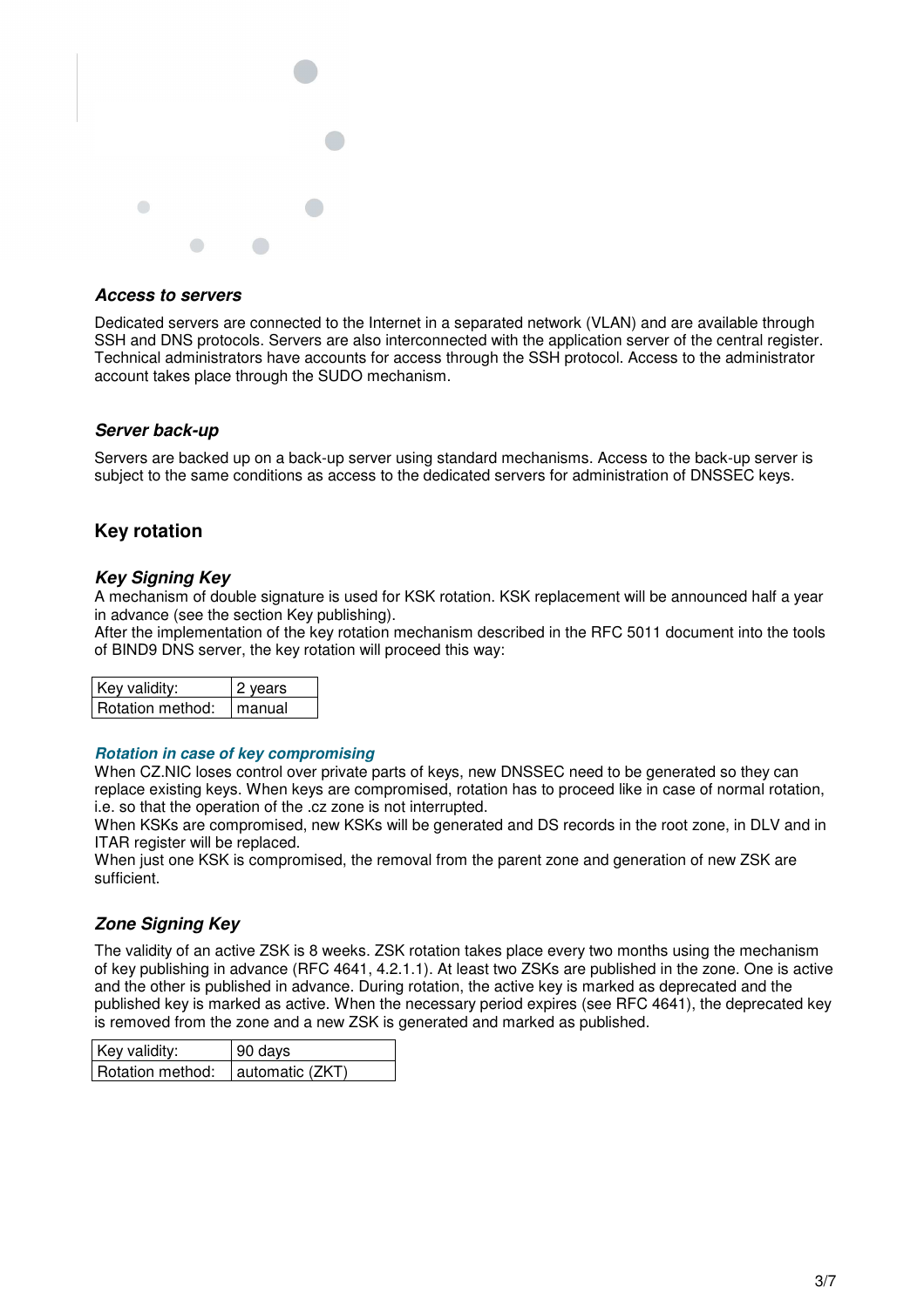

#### *Access to servers*

Dedicated servers are connected to the Internet in a separated network (VLAN) and are available through SSH and DNS protocols. Servers are also interconnected with the application server of the central register. Technical administrators have accounts for access through the SSH protocol. Access to the administrator account takes place through the SUDO mechanism.

### *Server back-up*

Servers are backed up on a back-up server using standard mechanisms. Access to the back-up server is subject to the same conditions as access to the dedicated servers for administration of DNSSEC keys.

## **Key rotation**

#### *Key Signing Key*

A mechanism of double signature is used for KSK rotation. KSK replacement will be announced half a year in advance (see the section Key publishing).

After the implementation of the key rotation mechanism described in the RFC 5011 document into the tools of BIND9 DNS server, the key rotation will proceed this way:

| Key validity:    | 2 vears |  |
|------------------|---------|--|
| Rotation method: | manual  |  |

#### *Rotation in case of key compromising*

When CZ.NIC loses control over private parts of keys, new DNSSEC need to be generated so they can replace existing keys. When keys are compromised, rotation has to proceed like in case of normal rotation, i.e. so that the operation of the .cz zone is not interrupted.

When KSKs are compromised, new KSKs will be generated and DS records in the root zone, in DLV and in ITAR register will be replaced.

When just one KSK is compromised, the removal from the parent zone and generation of new ZSK are sufficient.

### *Zone Signing Key*

The validity of an active ZSK is 8 weeks. ZSK rotation takes place every two months using the mechanism of key publishing in advance (RFC 4641, 4.2.1.1). At least two ZSKs are published in the zone. One is active and the other is published in advance. During rotation, the active key is marked as deprecated and the published key is marked as active. When the necessary period expires (see RFC 4641), the deprecated key is removed from the zone and a new ZSK is generated and marked as published.

| Key validity:    | 90 days         |  |  |
|------------------|-----------------|--|--|
| Rotation method: | automatic (ZKT) |  |  |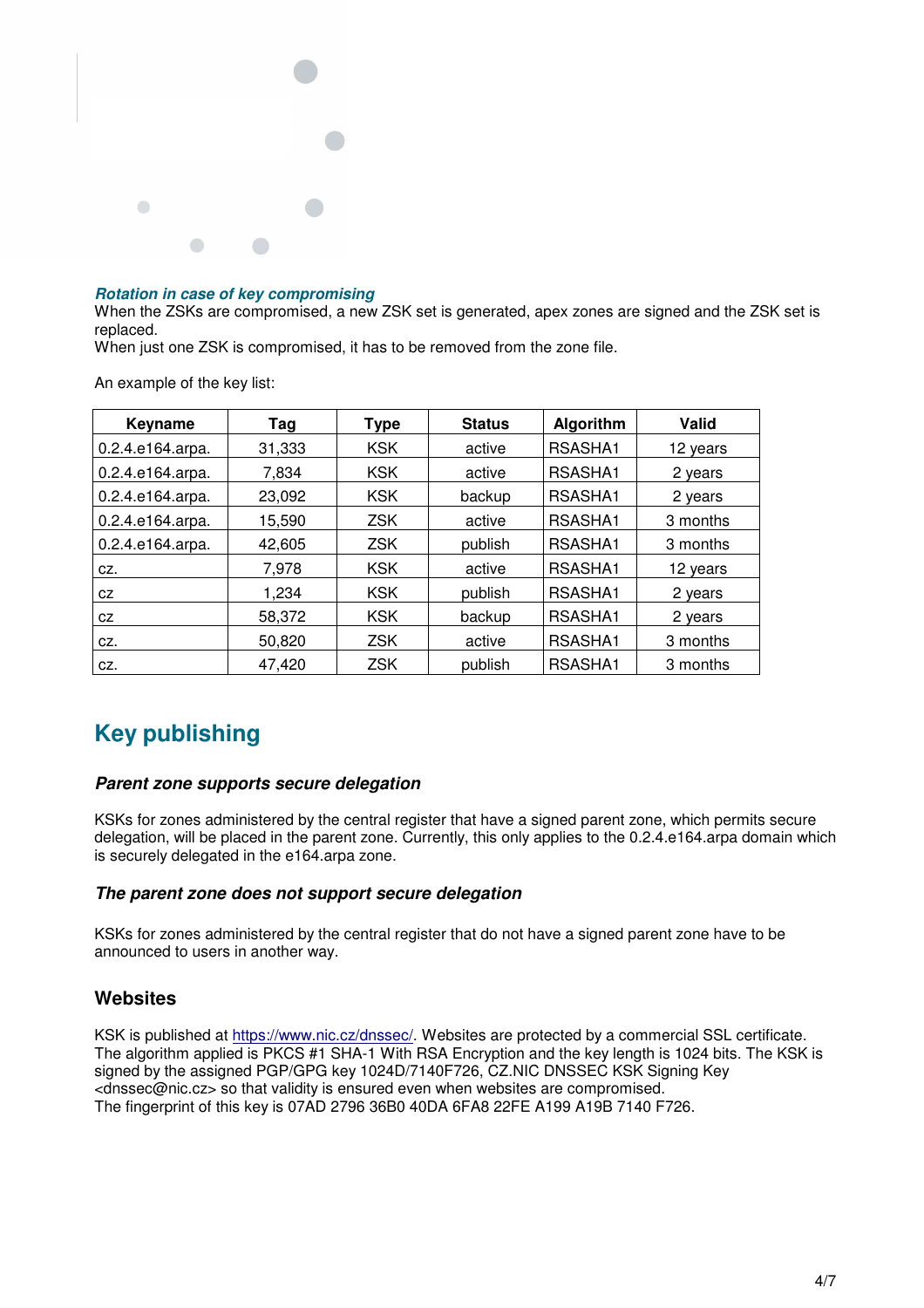

#### *Rotation in case of key compromising*

When the ZSKs are compromised, a new ZSK set is generated, apex zones are signed and the ZSK set is replaced.

When just one ZSK is compromised, it has to be removed from the zone file.

An example of the key list:

| Keyname          | Tag    | Type       | <b>Status</b> | Algorithm | Valid    |
|------------------|--------|------------|---------------|-----------|----------|
| 0.2.4.e164.arpa. | 31,333 | <b>KSK</b> | active        | RSASHA1   | 12 years |
| 0.2.4.e164.arpa. | 7.834  | <b>KSK</b> | active        | RSASHA1   | 2 years  |
| 0.2.4.e164.arpa. | 23,092 | <b>KSK</b> | backup        | RSASHA1   | 2 years  |
| 0.2.4.e164.arpa. | 15,590 | <b>ZSK</b> | active        | RSASHA1   | 3 months |
| 0.2.4.e164.arpa. | 42,605 | <b>ZSK</b> | publish       | RSASHA1   | 3 months |
| CZ.              | 7.978  | <b>KSK</b> | active        | RSASHA1   | 12 years |
| CZ.              | 1.234  | <b>KSK</b> | publish       | RSASHA1   | 2 years  |
| CZ               | 58,372 | <b>KSK</b> | backup        | RSASHA1   | 2 years  |
| CZ.              | 50,820 | <b>ZSK</b> | active        | RSASHA1   | 3 months |
| CZ.              | 47.420 | <b>ZSK</b> | publish       | RSASHA1   | 3 months |

# **Key publishing**

#### *Parent zone supports secure delegation*

KSKs for zones administered by the central register that have a signed parent zone, which permits secure delegation, will be placed in the parent zone. Currently, this only applies to the 0.2.4.e164.arpa domain which is securely delegated in the e164.arpa zone.

#### *The parent zone does not support secure delegation*

KSKs for zones administered by the central register that do not have a signed parent zone have to be announced to users in another way.

### **Websites**

KSK is published at https://www.nic.cz/dnssec/. Websites are protected by a commercial SSL certificate. The algorithm applied is PKCS #1 SHA-1 With RSA Encryption and the key length is 1024 bits. The KSK is signed by the assigned PGP/GPG key 1024D/7140F726, CZ.NIC DNSSEC KSK Signing Key <dnssec@nic.cz> so that validity is ensured even when websites are compromised. The fingerprint of this key is 07AD 2796 36B0 40DA 6FA8 22FE A199 A19B 7140 F726.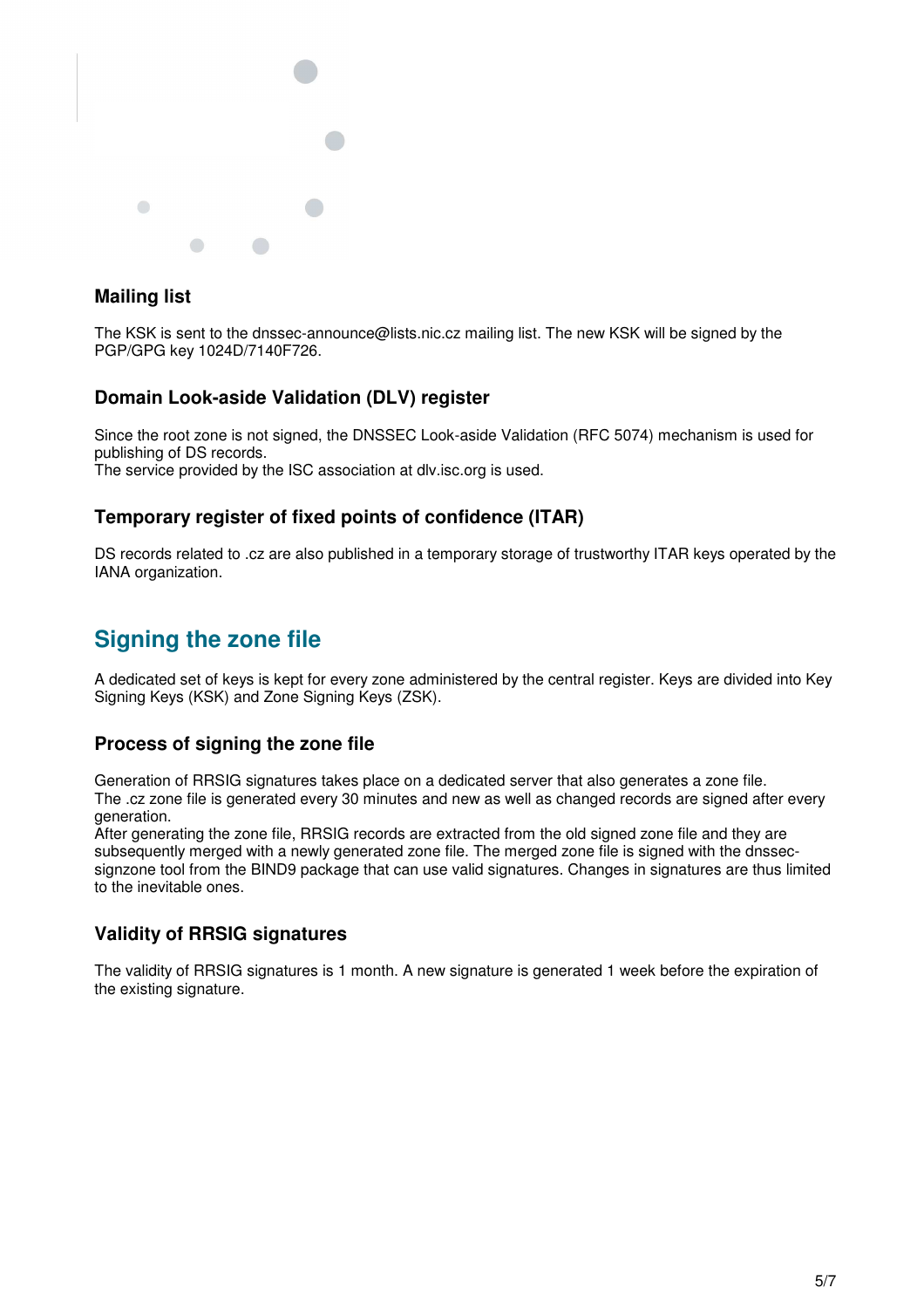

## **Mailing list**

The KSK is sent to the dnssec-announce@lists.nic.cz mailing list. The new KSK will be signed by the PGP/GPG key 1024D/7140F726.

## **Domain Look-aside Validation (DLV) register**

Since the root zone is not signed, the DNSSEC Look-aside Validation (RFC 5074) mechanism is used for publishing of DS records.

The service provided by the ISC association at dlv.isc.org is used.

## **Temporary register of fixed points of confidence (ITAR)**

DS records related to .cz are also published in a temporary storage of trustworthy ITAR keys operated by the IANA organization.

# **Signing the zone file**

A dedicated set of keys is kept for every zone administered by the central register. Keys are divided into Key Signing Keys (KSK) and Zone Signing Keys (ZSK).

## **Process of signing the zone file**

Generation of RRSIG signatures takes place on a dedicated server that also generates a zone file. The .cz zone file is generated every 30 minutes and new as well as changed records are signed after every generation.

After generating the zone file, RRSIG records are extracted from the old signed zone file and they are subsequently merged with a newly generated zone file. The merged zone file is signed with the dnssecsignzone tool from the BIND9 package that can use valid signatures. Changes in signatures are thus limited to the inevitable ones.

## **Validity of RRSIG signatures**

The validity of RRSIG signatures is 1 month. A new signature is generated 1 week before the expiration of the existing signature.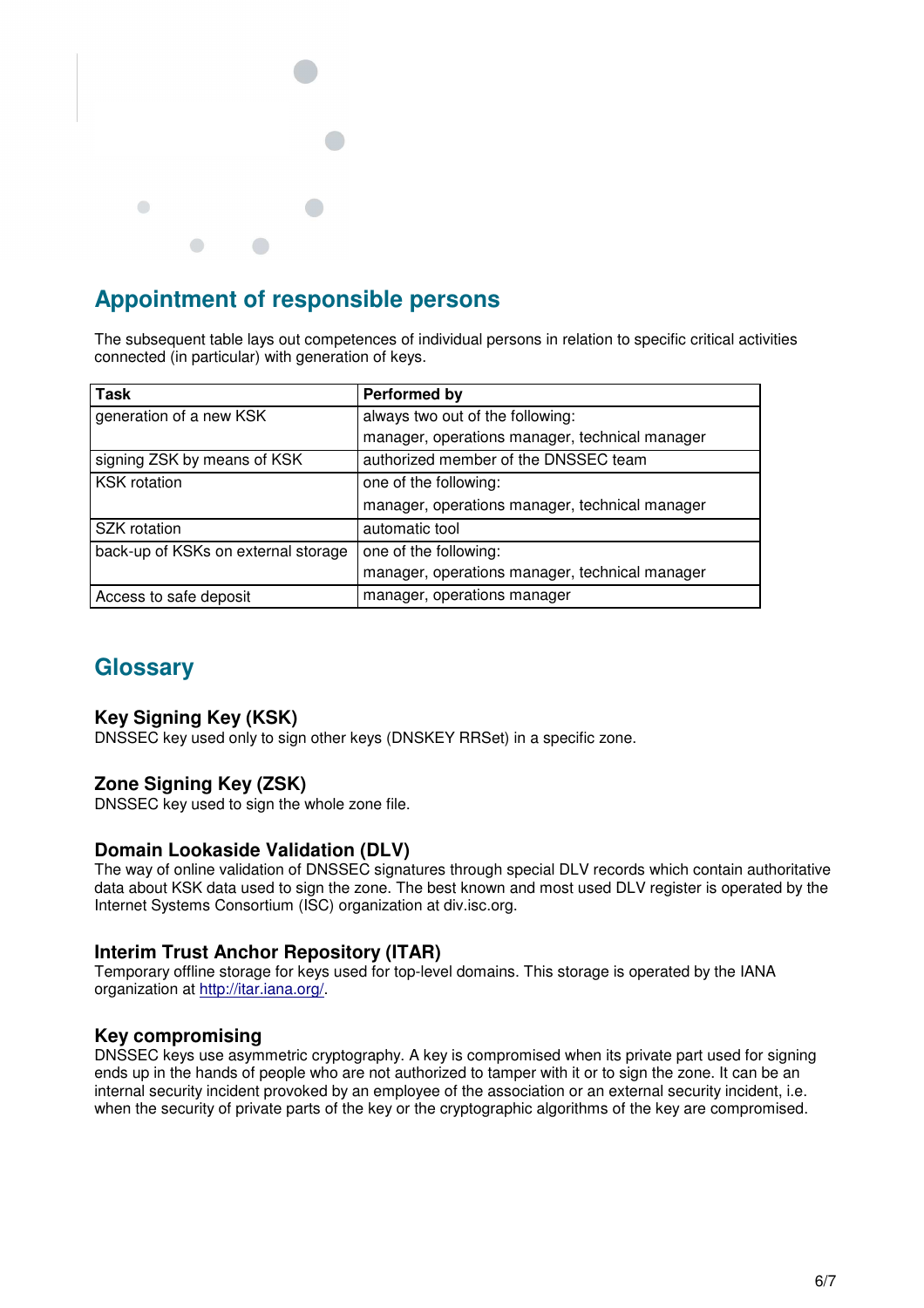

# **Appointment of responsible persons**

The subsequent table lays out competences of individual persons in relation to specific critical activities connected (in particular) with generation of keys.

| <b>Task</b>                         | <b>Performed by</b>                            |
|-------------------------------------|------------------------------------------------|
| generation of a new KSK             | always two out of the following:               |
|                                     | manager, operations manager, technical manager |
| signing ZSK by means of KSK         | authorized member of the DNSSEC team           |
| <b>KSK</b> rotation                 | one of the following:                          |
|                                     | manager, operations manager, technical manager |
| SZK rotation                        | automatic tool                                 |
| back-up of KSKs on external storage | one of the following:                          |
|                                     | manager, operations manager, technical manager |
| Access to safe deposit              | manager, operations manager                    |

# **Glossary**

## **Key Signing Key (KSK)**

DNSSEC key used only to sign other keys (DNSKEY RRSet) in a specific zone.

## **Zone Signing Key (ZSK)**

DNSSEC key used to sign the whole zone file.

### **Domain Lookaside Validation (DLV)**

The way of online validation of DNSSEC signatures through special DLV records which contain authoritative data about KSK data used to sign the zone. The best known and most used DLV register is operated by the Internet Systems Consortium (ISC) organization at div.isc.org.

## **Interim Trust Anchor Repository (ITAR)**

Temporary offline storage for keys used for top-level domains. This storage is operated by the IANA organization at http://itar.iana.org/.

## **Key compromising**

DNSSEC keys use asymmetric cryptography. A key is compromised when its private part used for signing ends up in the hands of people who are not authorized to tamper with it or to sign the zone. It can be an internal security incident provoked by an employee of the association or an external security incident, i.e. when the security of private parts of the key or the cryptographic algorithms of the key are compromised.